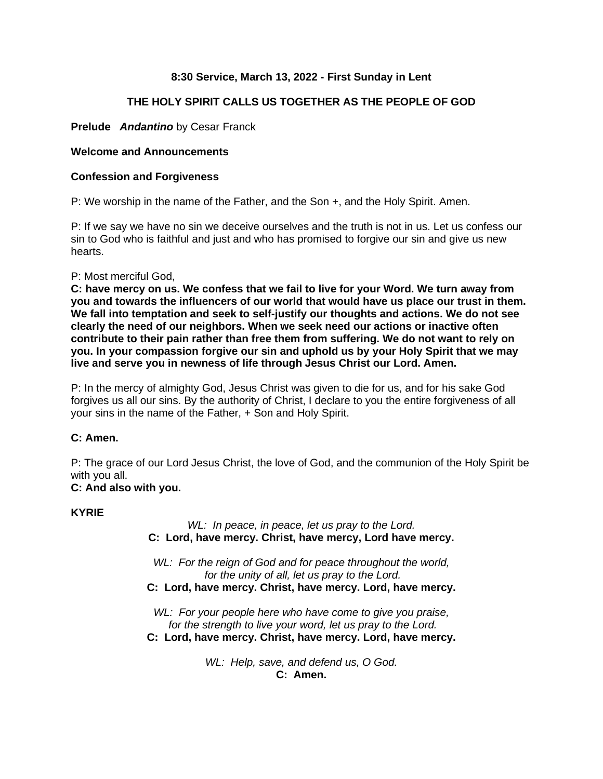# **8:30 Service, March 13, 2022 - First Sunday in Lent**

# **THE HOLY SPIRIT CALLS US TOGETHER AS THE PEOPLE OF GOD**

# **Prelude** *Andantino* by Cesar Franck

# **Welcome and Announcements**

## **Confession and Forgiveness**

P: We worship in the name of the Father, and the Son +, and the Holy Spirit. Amen.

P: If we say we have no sin we deceive ourselves and the truth is not in us. Let us confess our sin to God who is faithful and just and who has promised to forgive our sin and give us new hearts.

## P: Most merciful God,

**C: have mercy on us. We confess that we fail to live for your Word. We turn away from you and towards the influencers of our world that would have us place our trust in them. We fall into temptation and seek to self-justify our thoughts and actions. We do not see clearly the need of our neighbors. When we seek need our actions or inactive often contribute to their pain rather than free them from suffering. We do not want to rely on you. In your compassion forgive our sin and uphold us by your Holy Spirit that we may live and serve you in newness of life through Jesus Christ our Lord. Amen.**

P: In the mercy of almighty God, Jesus Christ was given to die for us, and for his sake God forgives us all our sins. By the authority of Christ, I declare to you the entire forgiveness of all your sins in the name of the Father, + Son and Holy Spirit.

# **C: Amen.**

P: The grace of our Lord Jesus Christ, the love of God, and the communion of the Holy Spirit be with you all.

# **C: And also with you.**

## **KYRIE**

*WL: In peace, in peace, let us pray to the Lord.* **C: Lord, have mercy. Christ, have mercy, Lord have mercy.**

*WL: For the reign of God and for peace throughout the world, for the unity of all, let us pray to the Lord.* **C: Lord, have mercy. Christ, have mercy. Lord, have mercy.**

*WL: For your people here who have come to give you praise, for the strength to live your word, let us pray to the Lord.* **C: Lord, have mercy. Christ, have mercy. Lord, have mercy.**

> *WL: Help, save, and defend us, O God.* **C: Amen.**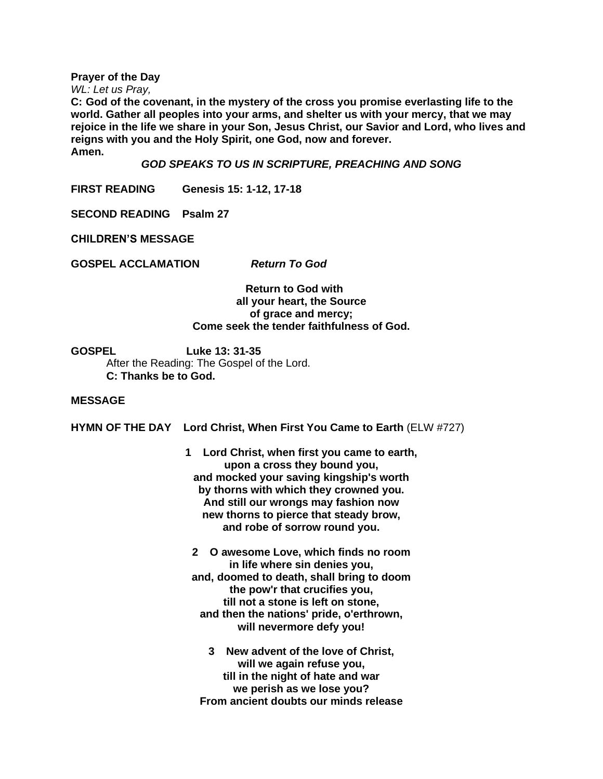**Prayer of the Day**

*WL: Let us Pray,*

**C: God of the covenant, in the mystery of the cross you promise everlasting life to the world. Gather all peoples into your arms, and shelter us with your mercy, that we may rejoice in the life we share in your Son, Jesus Christ, our Savior and Lord, who lives and reigns with you and the Holy Spirit, one God, now and forever. Amen.**

*GOD SPEAKS TO US IN SCRIPTURE, PREACHING AND SONG*

**FIRST READING Genesis 15: 1-12, 17-18**

**SECOND READING Psalm 27**

**CHILDREN'S MESSAGE**

**GOSPEL ACCLAMATION** *Return To God*

 **Return to God with all your heart, the Source of grace and mercy; Come seek the tender faithfulness of God.**

**GOSPEL Luke 13: 31-35** After the Reading: The Gospel of the Lord.

**C: Thanks be to God.**

### **MESSAGE**

**HYMN OF THE DAY Lord Christ, When First You Came to Earth** (ELW #727)

- **1 Lord Christ, when first you came to earth, upon a cross they bound you, and mocked your saving kingship's worth by thorns with which they crowned you. And still our wrongs may fashion now new thorns to pierce that steady brow, and robe of sorrow round you.**
- **2 O awesome Love, which finds no room in life where sin denies you, and, doomed to death, shall bring to doom the pow'r that crucifies you, till not a stone is left on stone, and then the nations' pride, o'erthrown, will nevermore defy you!**
	- **3 New advent of the love of Christ, will we again refuse you, till in the night of hate and war we perish as we lose you? From ancient doubts our minds release**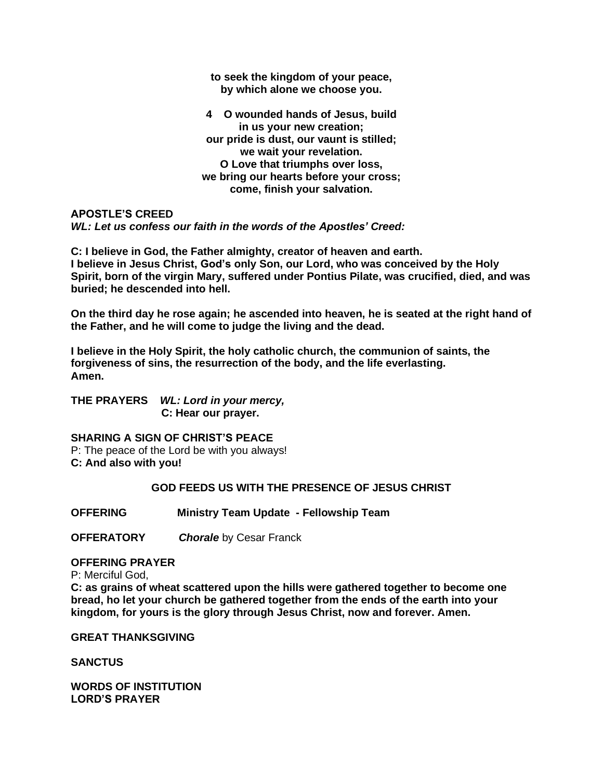**to seek the kingdom of your peace, by which alone we choose you.**

**4 O wounded hands of Jesus, build in us your new creation; our pride is dust, our vaunt is stilled; we wait your revelation. O Love that triumphs over loss, we bring our hearts before your cross; come, finish your salvation.**

**APOSTLE'S CREED** *WL: Let us confess our faith in the words of the Apostles' Creed:*

**C: I believe in God, the Father almighty, creator of heaven and earth. I believe in Jesus Christ, God's only Son, our Lord, who was conceived by the Holy Spirit, born of the virgin Mary, suffered under Pontius Pilate, was crucified, died, and was buried; he descended into hell.**

**On the third day he rose again; he ascended into heaven, he is seated at the right hand of the Father, and he will come to judge the living and the dead.**

**I believe in the Holy Spirit, the holy catholic church, the communion of saints, the forgiveness of sins, the resurrection of the body, and the life everlasting. Amen.**

**THE PRAYERS** *WL: Lord in your mercy,*  **C: Hear our prayer.** 

**SHARING A SIGN OF CHRIST'S PEACE** P: The peace of the Lord be with you always! **C: And also with you!**

### **GOD FEEDS US WITH THE PRESENCE OF JESUS CHRIST**

**OFFERING Ministry Team Update - Fellowship Team**

**OFFERATORY** *Chorale* by Cesar Franck

**OFFERING PRAYER**

P: Merciful God, **C: as grains of wheat scattered upon the hills were gathered together to become one bread, ho let your church be gathered together from the ends of the earth into your kingdom, for yours is the glory through Jesus Christ, now and forever. Amen.**

**GREAT THANKSGIVING**

**SANCTUS**

**WORDS OF INSTITUTION LORD'S PRAYER**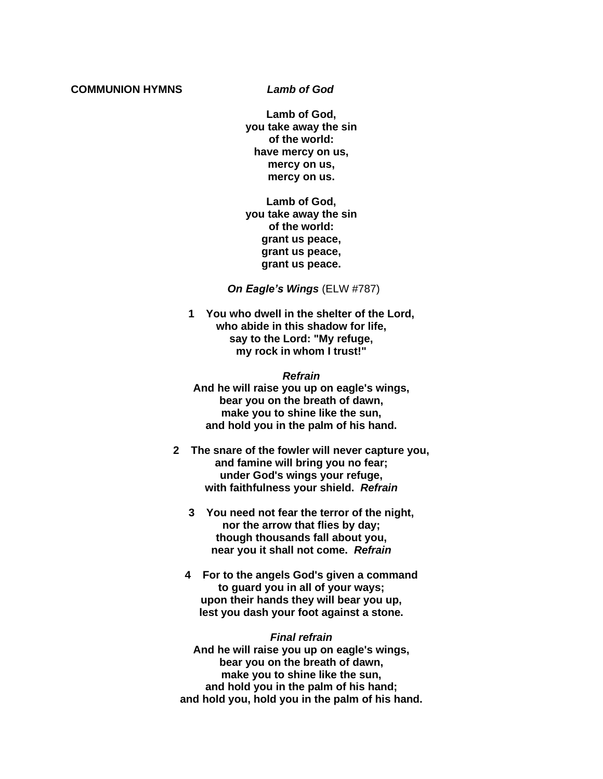#### **COMMUNION HYMNS** *Lamb of God*

**Lamb of God, you take away the sin of the world: have mercy on us, mercy on us, mercy on us.**

**Lamb of God, you take away the sin of the world: grant us peace, grant us peace, grant us peace.**

 *On Eagle's Wings* (ELW #787)

**1 You who dwell in the shelter of the Lord, who abide in this shadow for life, say to the Lord: "My refuge, my rock in whom I trust!"**

*Refrain* **And he will raise you up on eagle's wings, bear you on the breath of dawn, make you to shine like the sun, and hold you in the palm of his hand.**

- **2 The snare of the fowler will never capture you, and famine will bring you no fear; under God's wings your refuge, with faithfulness your shield.** *Refrain*
	- **3 You need not fear the terror of the night, nor the arrow that flies by day; though thousands fall about you, near you it shall not come.** *Refrain*
	- **4 For to the angels God's given a command to guard you in all of your ways; upon their hands they will bear you up, lest you dash your foot against a stone.**

#### *Final refrain*

**And he will raise you up on eagle's wings, bear you on the breath of dawn, make you to shine like the sun, and hold you in the palm of his hand; and hold you, hold you in the palm of his hand.**